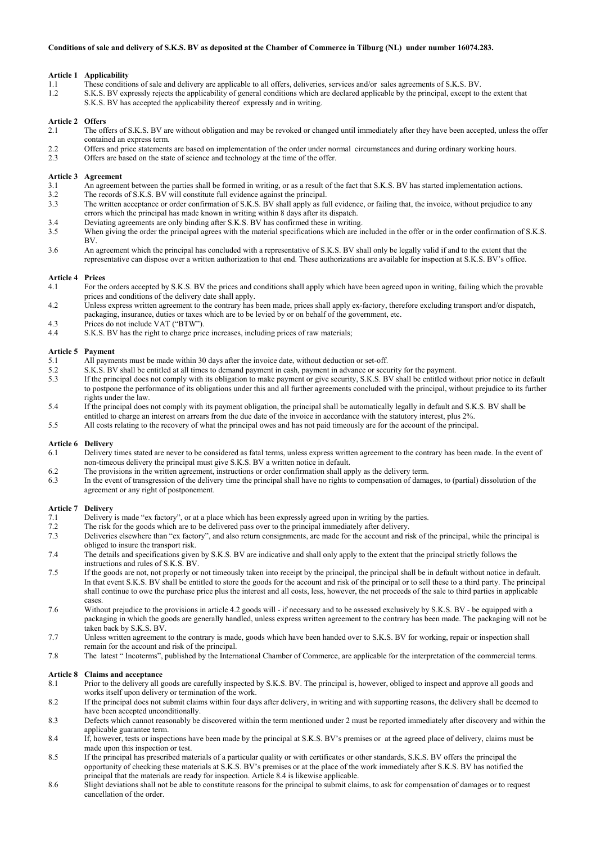# **Article 1 Applicability**<br>1.1 These condition

- 1.1 These conditions of sale and delivery are applicable to all offers, deliveries, services and/or sales agreements of S.K.S. BV.<br>1.2 S.K.S. BV expressly rejects the applicability of general conditions which are declared
- 1.2 S.K.S. BV expressly rejects the applicability of general conditions which are declared applicable by the principal, except to the extent that
- S.K.S. BV has accepted the applicability thereof expressly and in writing.

### **Article 2 Offers**

- 2.1 The offers of S.K.S. BV are without obligation and may be revoked or changed until immediately after they have been accepted, unless the offer contained an express term.
- 2.2 Offers and price statements are based on implementation of the order under normal circumstances and during ordinary working hours.<br>2.3 Offers are based on the state of science and technology at the time of the offer
- Offers are based on the state of science and technology at the time of the offer.

#### **Article 3 Agreement**

- 3.1 An agreement between the parties shall be formed in writing, or as a result of the fact that S.K.S. BV has started implementation actions.<br>3.2 The records of S.K.S. BV will constitute full evidence against the principa
- The records of S.K.S. BV will constitute full evidence against the principal.
- 3.3 The written acceptance or order confirmation of S.K.S. BV shall apply as full evidence, or failing that, the invoice, without prejudice to any errors which the principal has made known in writing within 8 days after its dispatch.
- 3.4 Deviating agreements are only binding after S.K.S. BV has confirmed these in writing.
- 3.5 When giving the order the principal agrees with the material specifications which are included in the offer or in the order confirmation of S.K.S. BV.
- 3.6 An agreement which the principal has concluded with a representative of S.K.S. BV shall only be legally valid if and to the extent that the representative can dispose over a written authorization to that end. These authorizations are available for inspection at S.K.S. BV's office.

### **Article 4 Prices**

- 4.1 For the orders accepted by S.K.S. BV the prices and conditions shall apply which have been agreed upon in writing, failing which the provable prices and conditions of the delivery date shall apply.
- 4.2 Unless express written agreement to the contrary has been made, prices shall apply ex-factory, therefore excluding transport and/or dispatch, packaging, insurance, duties or taxes which are to be levied by or on behalf of the government, etc.
- 4.3 Prices do not include VAT ("BTW").
- 4.4 S.K.S. BV has the right to charge price increases, including prices of raw materials;

### **Article 5 Payment**

- 5.1 All payments must be made within 30 days after the invoice date, without deduction or set-off.
- 5.2 S.K.S. BV shall be entitled at all times to demand payment in cash, payment in advance or security for the payment.
- 5.3 If the principal does not comply with its obligation to make payment or give security, S.K.S. BV shall be entitled without prior notice in default to postpone the performance of its obligations under this and all further agreements concluded with the principal, without prejudice to its further rights under the law.
- 5.4 If the principal does not comply with its payment obligation, the principal shall be automatically legally in default and S.K.S. BV shall be entitled to charge an interest on arrears from the due date of the invoice in accordance with the statutory interest, plus 2%.
- 5.5 All costs relating to the recovery of what the principal owes and has not paid timeously are for the account of the principal.

# **Article 6 Delivery**

- Delivery times stated are never to be considered as fatal terms, unless express written agreement to the contrary has been made. In the event of non-timeous delivery the principal must give S.K.S. BV a written notice in default.
- 6.2 The provisions in the written agreement, instructions or order confirmation shall apply as the delivery term.
- 6.3 In the event of transgression of the delivery time the principal shall have no rights to compensation of damages, to (partial) dissolution of the agreement or any right of postponement.

#### **Article 7 Delivery**

- 7.1 Delivery is made "ex factory", or at a place which has been expressly agreed upon in writing by the parties.<br>7.2 The risk for the goods which are to be delivered pass over to the principal immediately after delivery.
- The risk for the goods which are to be delivered pass over to the principal immediately after delivery.
- 7.3 Deliveries elsewhere than "ex factory", and also return consignments, are made for the account and risk of the principal, while the principal is obliged to insure the transport risk.
- 7.4 The details and specifications given by S.K.S. BV are indicative and shall only apply to the extent that the principal strictly follows the instructions and rules of S.K.S. BV.
- 7.5 If the goods are not, not properly or not timeously taken into receipt by the principal, the principal shall be in default without notice in default. In that event S.K.S. BV shall be entitled to store the goods for the account and risk of the principal or to sell these to a third party. The principal shall continue to owe the purchase price plus the interest and all costs, less, however, the net proceeds of the sale to third parties in applicable cases.
- 7.6 Without prejudice to the provisions in article 4.2 goods will if necessary and to be assessed exclusively by S.K.S. BV be equipped with a packaging in which the goods are generally handled, unless express written agreement to the contrary has been made. The packaging will not be taken back by S.K.S. BV.
- 7.7 Unless written agreement to the contrary is made, goods which have been handed over to S.K.S. BV for working, repair or inspection shall remain for the account and risk of the principal.
- 7.8 The latest " Incoterms", published by the International Chamber of Commerce, are applicable for the interpretation of the commercial terms.

# **Article 8 Claims and acceptance**

- 8.1 Prior to the delivery all goods are carefully inspected by S.K.S. BV. The principal is, however, obliged to inspect and approve all goods and works itself upon delivery or termination of the work.
- 8.2 If the principal does not submit claims within four days after delivery, in writing and with supporting reasons, the delivery shall be deemed to have been accepted unconditionally.
- 8.3 Defects which cannot reasonably be discovered within the term mentioned under 2 must be reported immediately after discovery and within the applicable guarantee term.
- 8.4 If, however, tests or inspections have been made by the principal at S.K.S. BV's premises or at the agreed place of delivery, claims must be made upon this inspection or test.
- 8.5 If the principal has prescribed materials of a particular quality or with certificates or other standards, S.K.S. BV offers the principal the opportunity of checking these materials at S.K.S. BV's premises or at the place of the work immediately after S.K.S. BV has notified the principal that the materials are ready for inspection. Article 8.4 is likewise applicable.
- 8.6 Slight deviations shall not be able to constitute reasons for the principal to submit claims, to ask for compensation of damages or to request cancellation of the order.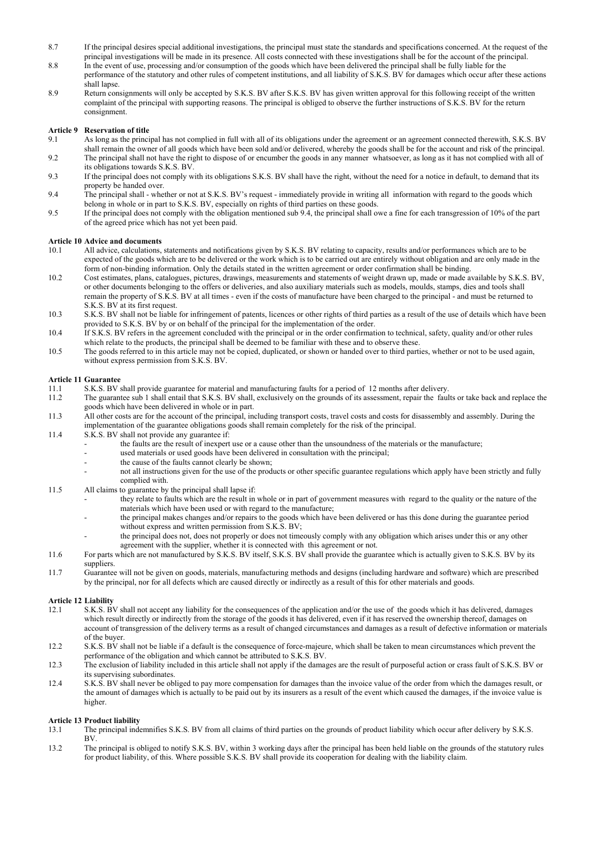- 8.7 If the principal desires special additional investigations, the principal must state the standards and specifications concerned. At the request of the principal investigations will be made in its presence. All costs connected with these investigations shall be for the account of the principal.
- 8.8 In the event of use, processing and/or consumption of the goods which have been delivered the principal shall be fully liable for the performance of the statutory and other rules of competent institutions, and all liability of S.K.S. BV for damages which occur after these actions shall lapse.
- 8.9 Return consignments will only be accepted by S.K.S. BV after S.K.S. BV has given written approval for this following receipt of the written complaint of the principal with supporting reasons. The principal is obliged to observe the further instructions of S.K.S. BV for the return consignment.

# **Article 9 Reservation of title**

- 9.1 As long as the principal has not complied in full with all of its obligations under the agreement or an agreement connected therewith, S.K.S. BV shall remain the owner of all goods which have been sold and/or delivered, whereby the goods shall be for the account and risk of the principal.
- 9.2 The principal shall not have the right to dispose of or encumber the goods in any manner whatsoever, as long as it has not complied with all of its obligations towards S.K.S. BV.
- 9.3 If the principal does not comply with its obligations S.K.S. BV shall have the right, without the need for a notice in default, to demand that its property be handed over.
- 9.4 The principal shall whether or not at S.K.S. BV's request immediately provide in writing all information with regard to the goods which belong in whole or in part to S.K.S. BV, especially on rights of third parties on these goods.
- 9.5 If the principal does not comply with the obligation mentioned sub 9.4, the principal shall owe a fine for each transgression of 10% of the part of the agreed price which has not yet been paid.

### **Article 10 Advice and documents**

- 10.1 All advice, calculations, statements and notifications given by S.K.S. BV relating to capacity, results and/or performances which are to be expected of the goods which are to be delivered or the work which is to be carried out are entirely without obligation and are only made in the form of non-binding information. Only the details stated in the written agreement or order confirmation shall be binding.
- 10.2 Cost estimates, plans, catalogues, pictures, drawings, measurements and statements of weight drawn up, made or made available by S.K.S. BV, or other documents belonging to the offers or deliveries, and also auxiliary materials such as models, moulds, stamps, dies and tools shall remain the property of S.K.S. BV at all times - even if the costs of manufacture have been charged to the principal - and must be returned to S.K.S. BV at its first request.
- 10.3 S.K.S. BV shall not be liable for infringement of patents, licences or other rights of third parties as a result of the use of details which have been provided to S.K.S. BV by or on behalf of the principal for the implementation of the order.
- 10.4 If S.K.S. BV refers in the agreement concluded with the principal or in the order confirmation to technical, safety, quality and/or other rules which relate to the products, the principal shall be deemed to be familiar with these and to observe these.
- 10.5 The goods referred to in this article may not be copied, duplicated, or shown or handed over to third parties, whether or not to be used again, without express permission from S.K.S. BV.

# **Article 11 Guarantee**

- S.K.S. BV shall provide guarantee for material and manufacturing faults for a period of 12 months after delivery.
- 11.2 The guarantee sub 1 shall entail that S.K.S. BV shall, exclusively on the grounds of its assessment, repair the faults or take back and replace the goods which have been delivered in whole or in part.
- 11.3 All other costs are for the account of the principal, including transport costs, travel costs and costs for disassembly and assembly. During the implementation of the guarantee obligations goods shall remain completely for the risk of the principal.
- 11.4 S.K.S. BV shall not provide any guarantee if:
	- the faults are the result of inexpert use or a cause other than the unsoundness of the materials or the manufacture;
	- used materials or used goods have been delivered in consultation with the principal;
	- the cause of the faults cannot clearly be shown;
	- not all instructions given for the use of the products or other specific guarantee regulations which apply have been strictly and fully complied with.
- 11.5 All claims to guarantee by the principal shall lapse if:
	- they relate to faults which are the result in whole or in part of government measures with regard to the quality or the nature of the materials which have been used or with regard to the manufacture;
	- the principal makes changes and/or repairs to the goods which have been delivered or has this done during the guarantee period without express and written permission from S.K.S. BV;
	- the principal does not, does not properly or does not timeously comply with any obligation which arises under this or any other agreement with the supplier, whether it is connected with this agreement or not.
- 11.6 For parts which are not manufactured by S.K.S. BV itself, S.K.S. BV shall provide the guarantee which is actually given to S.K.S. BV by its suppliers.
- 11.7 Guarantee will not be given on goods, materials, manufacturing methods and designs (including hardware and software) which are prescribed by the principal, nor for all defects which are caused directly or indirectly as a result of this for other materials and goods.

### **Article 12 Liability**

- 12.1 S.K.S. BV shall not accept any liability for the consequences of the application and/or the use of the goods which it has delivered, damages which result directly or indirectly from the storage of the goods it has delivered, even if it has reserved the ownership thereof, damages on account of transgression of the delivery terms as a result of changed circumstances and damages as a result of defective information or materials of the buyer.
- 12.2 S.K.S. BV shall not be liable if a default is the consequence of force-majeure, which shall be taken to mean circumstances which prevent the performance of the obligation and which cannot be attributed to S.K.S. BV.
- 12.3 The exclusion of liability included in this article shall not apply if the damages are the result of purposeful action or crass fault of S.K.S. BV or its supervising subordinates.
- 12.4 S.K.S. BV shall never be obliged to pay more compensation for damages than the invoice value of the order from which the damages result, or the amount of damages which is actually to be paid out by its insurers as a result of the event which caused the damages, if the invoice value is higher.

# **Article 13 Product liability**

- 13.1 The principal indemnifies S.K.S. BV from all claims of third parties on the grounds of product liability which occur after delivery by S.K.S. BV.
- 13.2 The principal is obliged to notify S.K.S. BV, within 3 working days after the principal has been held liable on the grounds of the statutory rules for product liability, of this. Where possible S.K.S. BV shall provide its cooperation for dealing with the liability claim.